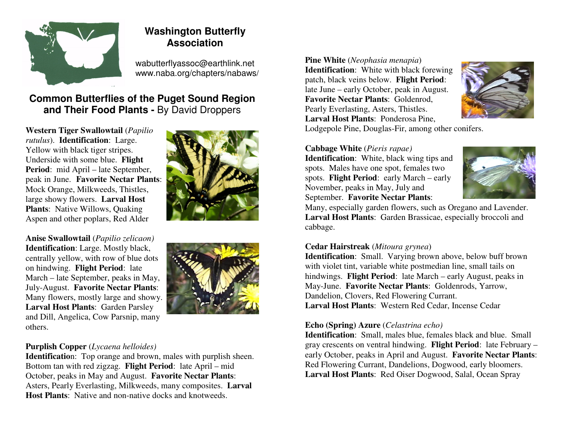

# **Washington Butterfly Association**

wabutterflyassoc@earthlink.net www.naba.org/chapters/nabaws/

## **Common Butterflies of the Puget Sound Region and Their Food Plants -** By David Droppers

**Western Tiger Swallowtail** (*Papilio rutulus*). **Identification**: Large. Yellow with black tiger stripes. Underside with some blue. **Flight Period**: mid April – late September, peak in June. **Favorite Nectar Plants**: Mock Orange, Milkweeds, Thistles, large showy flowers. **Larval Host Plants**: Native Willows, Quaking Aspen and other poplars, Red Alder



**Anise Swallowtail** (*Papilio zelicaon)* **Identification**: Large. Mostly black, centrally yellow, with row of blue dots on hindwing. **Flight Period**: late March – late September, peaks in May, July-August. **Favorite Nectar Plants**: Many flowers, mostly large and showy. **Larval Host Plants**: Garden Parsley and Dill, Angelica, Cow Parsnip, many others.



## **Purplish Copper** (*Lycaena helloides)*

 **Identificatio**n: Top orange and brown, males with purplish sheen. Bottom tan with red zigzag. **Flight Period**: late April – mid October, peaks in May and August. **Favorite Nectar Plants**: Asters, Pearly Everlasting, Milkweeds, many composites. **Larval Host Plants**: Native and non-native docks and knotweeds.

**Pine White** (*Neophasia menapia*) **Identification**: White with black forewing patch, black veins below. **Flight Period**: late June – early October, peak in August. **Favorite Nectar Plants**: Goldenrod, Pearly Everlasting, Asters, Thistles. **Larval Host Plants**: Ponderosa Pine,



Lodgepole Pine, Douglas-Fir, among other conifers.

### **Cabbage White** (*Pieris rapae)*

 **Identification**: White, black wing tips and spots. Males have one spot, females two spots. **Flight Period**: early March – early November, peaks in May, July and September. **Favorite Nectar Plants**:



 Many, especially garden flowers, such as Oregano and Lavender. **Larval Host Plants**: Garden Brassicae, especially broccoli and cabbage.

## **Cedar Hairstreak** (*Mitoura grynea*)

 **Identification**: Small. Varying brown above, below buff brown with violet tint, variable white postmedian line, small tails on hindwings. **Flight Period**: late March – early August, peaks in May-June. **Favorite Nectar Plants**: Goldenrods, Yarrow, Dandelion, Clovers, Red Flowering Currant. **Larval Host Plants**: Western Red Cedar, Incense Cedar

#### **Echo (Spring) Azure** (*Celastrina echo)*

 **Identification**: Small, males blue, females black and blue. Small gray crescents on ventral hindwing. **Flight Period**: late February – early October, peaks in April and August. **Favorite Nectar Plants**: Red Flowering Currant, Dandelions, Dogwood, early bloomers. **Larval Host Plants**: Red Oiser Dogwood, Salal, Ocean Spray